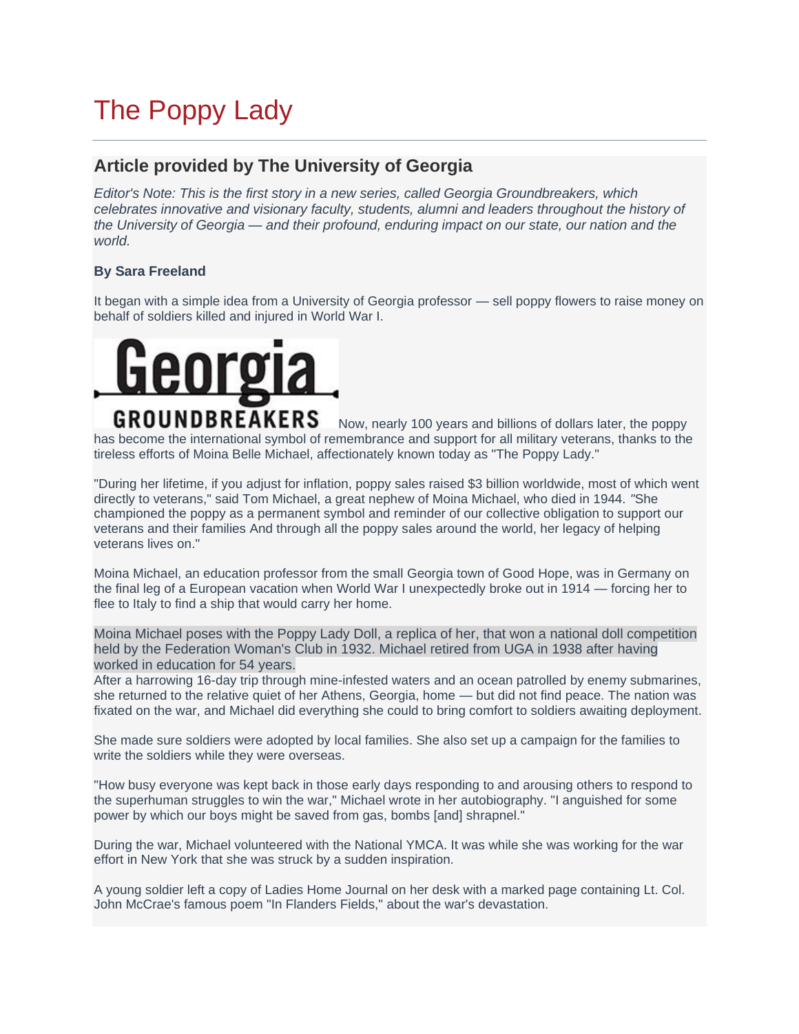## [The Poppy Lady](https://www.worldwar1centennial.org/index.php/georgia-wwi-home/3517-the-poppy-lady.html)

## **Article provided by The University of Georgia**

*Editor's Note: This is the first story in a new series, called Georgia Groundbreakers, which celebrates innovative and visionary faculty, students, alumni and leaders throughout the history of the University of Georgia* — *and their profound, enduring impact on our state, our nation and the world.*

## **By Sara Freeland**

It began with a simple idea from a University of Georgia professor — sell poppy flowers to raise money on behalf of soldiers killed and injured in World War I.



Now, nearly 100 years and billions of dollars later, the poppy has become the international symbol of remembrance and support for all military veterans, thanks to the tireless efforts of Moina Belle Michael, affectionately known today as "The Poppy Lady."

"During her lifetime, if you adjust for inflation, poppy sales raised \$3 billion worldwide, most of which went directly to veterans," said Tom Michael, a great nephew of Moina Michael, who died in 1944. *"*She championed the poppy as a permanent symbol and reminder of our collective obligation to support our veterans and their families And through all the poppy sales around the world, her legacy of helping veterans lives on."

Moina Michael, an education professor from the small Georgia town of Good Hope, was in Germany on the final leg of a European vacation when World War I unexpectedly broke out in 1914 — forcing her to flee to Italy to find a ship that would carry her home.

Moina Michael poses with the Poppy Lady Doll, a replica of her, that won a national doll competition held by the Federation Woman's Club in 1932. Michael retired from UGA in 1938 after having worked in education for 54 years.

After a harrowing 16-day trip through mine-infested waters and an ocean patrolled by enemy submarines, she returned to the relative quiet of her Athens, Georgia, home — but did not find peace. The nation was fixated on the war, and Michael did everything she could to bring comfort to soldiers awaiting deployment.

She made sure soldiers were adopted by local families. She also set up a campaign for the families to write the soldiers while they were overseas.

"How busy everyone was kept back in those early days responding to and arousing others to respond to the superhuman struggles to win the war," Michael wrote in her autobiography. "I anguished for some power by which our boys might be saved from gas, bombs [and] shrapnel."

During the war, Michael volunteered with the National YMCA. It was while she was working for the war effort in New York that she was struck by a sudden inspiration.

A young soldier left a copy of Ladies Home Journal on her desk with a marked page containing Lt. Col. John McCrae's famous poem "In Flanders Fields," about the war's devastation.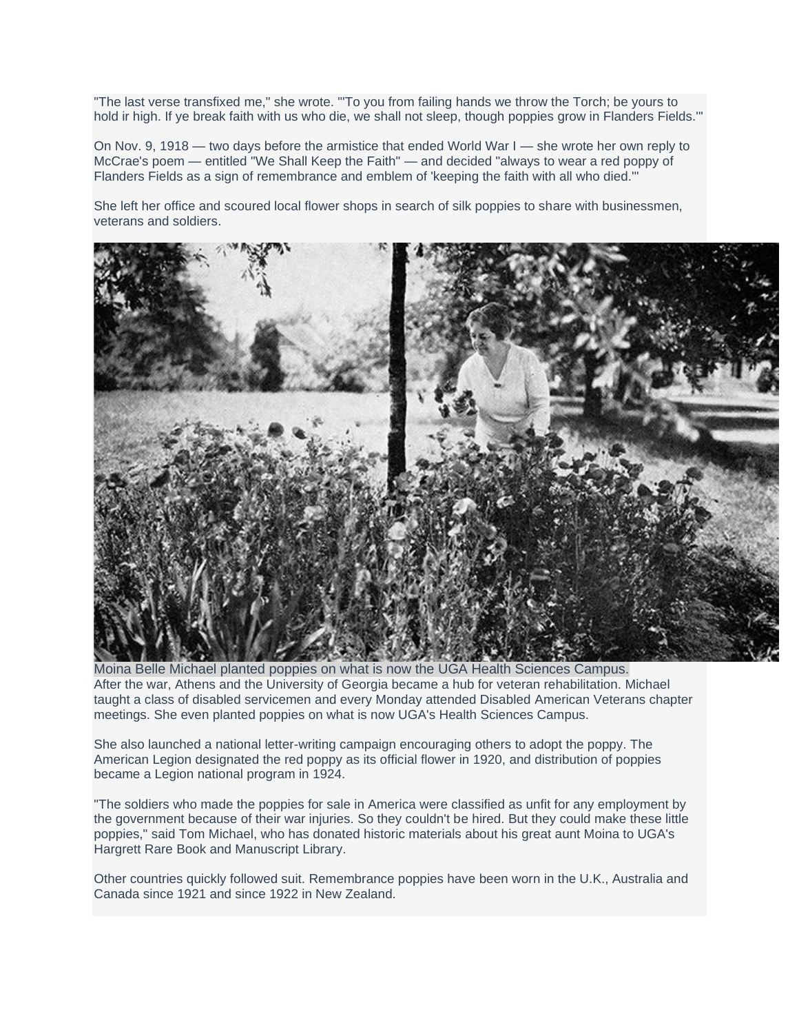"The last verse transfixed me," she wrote. "'To you from failing hands we throw the Torch; be yours to hold ir high. If ye break faith with us who die, we shall not sleep, though poppies grow in Flanders Fields.'"

On Nov. 9, 1918 — two days before the armistice that ended World War I — she wrote her own reply to McCrae's poem — entitled "We Shall Keep the Faith" — and decided "always to wear a red poppy of Flanders Fields as a sign of remembrance and emblem of 'keeping the faith with all who died.'"

She left her office and scoured local flower shops in search of silk poppies to share with businessmen, veterans and soldiers.



Moina Belle Michael planted poppies on what is now the UGA Health Sciences Campus. After the war, Athens and the University of Georgia became a hub for veteran rehabilitation. Michael taught a class of disabled servicemen and every Monday attended Disabled American Veterans chapter meetings. She even planted poppies on what is now UGA's Health Sciences Campus.

She also launched a national letter-writing campaign encouraging others to adopt the poppy. The American Legion designated the red poppy as its official flower in 1920, and distribution of poppies became a Legion national program in 1924.

"The soldiers who made the poppies for sale in America were classified as unfit for any employment by the government because of their war injuries. So they couldn't be hired. But they could make these little poppies," said Tom Michael, who has donated historic materials about his great aunt Moina to UGA's Hargrett Rare Book and Manuscript Library.

Other countries quickly followed suit. Remembrance poppies have been worn in the U.K., Australia and Canada since 1921 and since 1922 in New Zealand.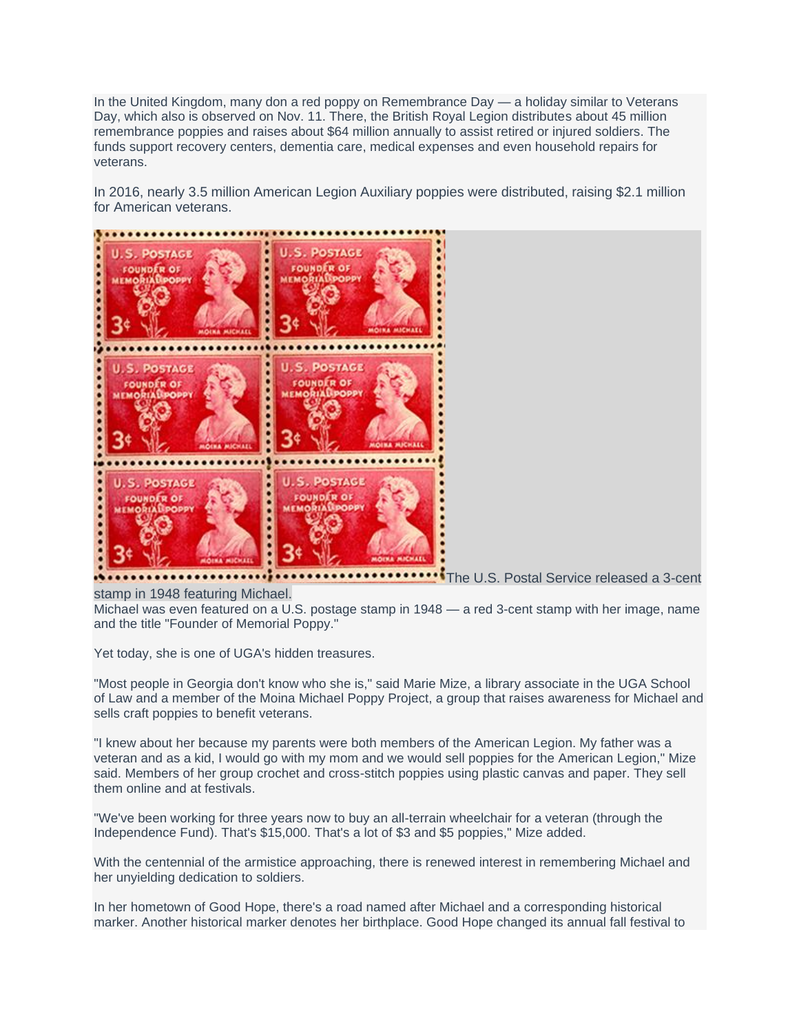In the United Kingdom, many don a red poppy on Remembrance Day — a holiday similar to Veterans Day, which also is observed on Nov. 11. There, the British Royal Legion distributes about 45 million remembrance poppies and raises about \$64 million annually to assist retired or injured soldiers. The funds support recovery centers, dementia care, medical expenses and even household repairs for veterans.

In 2016, nearly 3.5 million American Legion Auxiliary poppies were distributed, raising \$2.1 million for American veterans.



stamp in 1948 featuring Michael.

Michael was even featured on a U.S. postage stamp in 1948 — a red 3-cent stamp with her image, name and the title "Founder of Memorial Poppy."

Yet today, she is one of UGA's hidden treasures.

"Most people in Georgia don't know who she is," said Marie Mize, a library associate in the UGA School of Law and a member of the Moina Michael Poppy Project, a group that raises awareness for Michael and sells craft poppies to benefit veterans.

"I knew about her because my parents were both members of the American Legion. My father was a veteran and as a kid, I would go with my mom and we would sell poppies for the American Legion," Mize said. Members of her group crochet and cross-stitch poppies using plastic canvas and paper. They sell them online and at festivals.

"We've been working for three years now to buy an all-terrain wheelchair for a veteran (through the Independence Fund). That's \$15,000. That's a lot of \$3 and \$5 poppies," Mize added.

With the centennial of the armistice approaching, there is renewed interest in remembering Michael and her unyielding dedication to soldiers.

In her hometown of Good Hope, there's a road named after Michael and a corresponding historical marker. Another historical marker denotes her birthplace. Good Hope changed its annual fall festival to